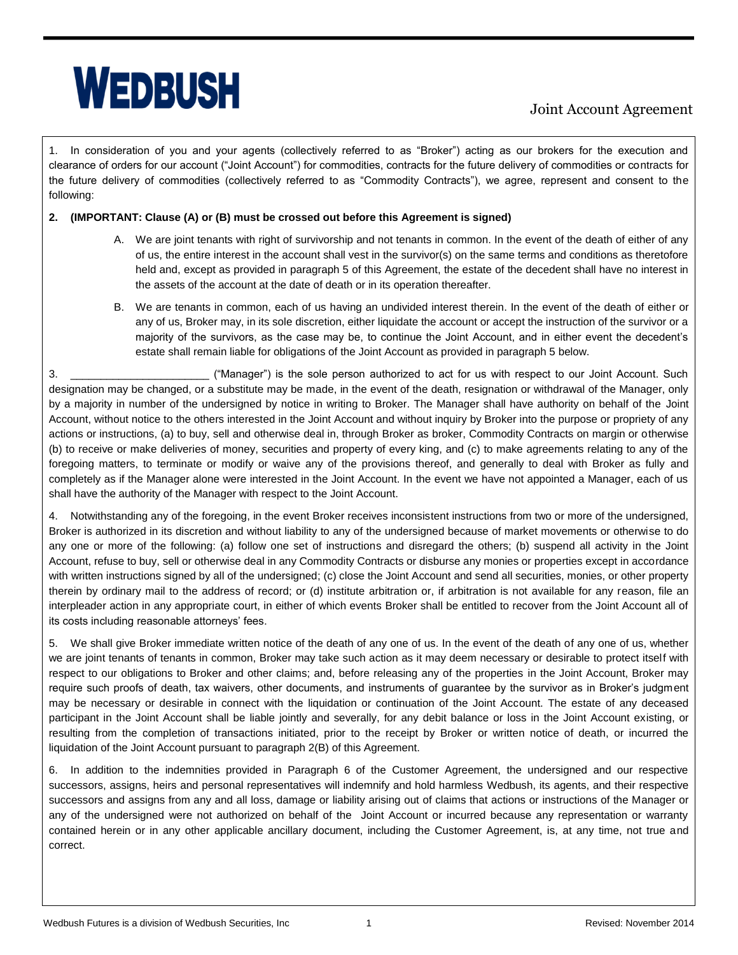## **WEDBUSH**

## Joint Account Agreement

1. In consideration of you and your agents (collectively referred to as "Broker") acting as our brokers for the execution and clearance of orders for our account ("Joint Account") for commodities, contracts for the future delivery of commodities or contracts for the future delivery of commodities (collectively referred to as "Commodity Contracts"), we agree, represent and consent to the following:

## **2. (IMPORTANT: Clause (A) or (B) must be crossed out before this Agreement is signed)**

- A. We are joint tenants with right of survivorship and not tenants in common. In the event of the death of either of any of us, the entire interest in the account shall vest in the survivor(s) on the same terms and conditions as theretofore held and, except as provided in paragraph 5 of this Agreement, the estate of the decedent shall have no interest in the assets of the account at the date of death or in its operation thereafter.
- B. We are tenants in common, each of us having an undivided interest therein. In the event of the death of either or any of us, Broker may, in its sole discretion, either liquidate the account or accept the instruction of the survivor or a majority of the survivors, as the case may be, to continue the Joint Account, and in either event the decedent's estate shall remain liable for obligations of the Joint Account as provided in paragraph 5 below.

3. **Example 20** ("Manager") is the sole person authorized to act for us with respect to our Joint Account. Such designation may be changed, or a substitute may be made, in the event of the death, resignation or withdrawal of the Manager, only by a majority in number of the undersigned by notice in writing to Broker. The Manager shall have authority on behalf of the Joint Account, without notice to the others interested in the Joint Account and without inquiry by Broker into the purpose or propriety of any actions or instructions, (a) to buy, sell and otherwise deal in, through Broker as broker, Commodity Contracts on margin or otherwise (b) to receive or make deliveries of money, securities and property of every king, and (c) to make agreements relating to any of the foregoing matters, to terminate or modify or waive any of the provisions thereof, and generally to deal with Broker as fully and completely as if the Manager alone were interested in the Joint Account. In the event we have not appointed a Manager, each of us shall have the authority of the Manager with respect to the Joint Account.

4. Notwithstanding any of the foregoing, in the event Broker receives inconsistent instructions from two or more of the undersigned, Broker is authorized in its discretion and without liability to any of the undersigned because of market movements or otherwise to do any one or more of the following: (a) follow one set of instructions and disregard the others; (b) suspend all activity in the Joint Account, refuse to buy, sell or otherwise deal in any Commodity Contracts or disburse any monies or properties except in accordance with written instructions signed by all of the undersigned; (c) close the Joint Account and send all securities, monies, or other property therein by ordinary mail to the address of record; or (d) institute arbitration or, if arbitration is not available for any reason, file an interpleader action in any appropriate court, in either of which events Broker shall be entitled to recover from the Joint Account all of its costs including reasonable attorneys' fees.

5. We shall give Broker immediate written notice of the death of any one of us. In the event of the death of any one of us, whether we are joint tenants of tenants in common, Broker may take such action as it may deem necessary or desirable to protect itself with respect to our obligations to Broker and other claims; and, before releasing any of the properties in the Joint Account, Broker may require such proofs of death, tax waivers, other documents, and instruments of guarantee by the survivor as in Broker's judgment may be necessary or desirable in connect with the liquidation or continuation of the Joint Account. The estate of any deceased participant in the Joint Account shall be liable jointly and severally, for any debit balance or loss in the Joint Account existing, or resulting from the completion of transactions initiated, prior to the receipt by Broker or written notice of death, or incurred the liquidation of the Joint Account pursuant to paragraph 2(B) of this Agreement.

6. In addition to the indemnities provided in Paragraph 6 of the Customer Agreement, the undersigned and our respective successors, assigns, heirs and personal representatives will indemnify and hold harmless Wedbush, its agents, and their respective successors and assigns from any and all loss, damage or liability arising out of claims that actions or instructions of the Manager or any of the undersigned were not authorized on behalf of the Joint Account or incurred because any representation or warranty contained herein or in any other applicable ancillary document, including the Customer Agreement, is, at any time, not true and correct.